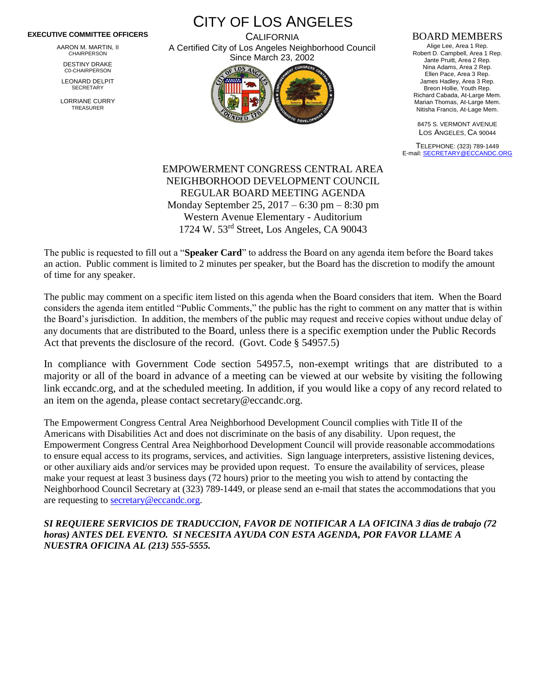## **EXECUTIVE COMMITTEE OFFICERS**

AARON M. MARTIN, II CHAIRPERSON

DESTINY DRAKE C0-CHAIRPERSON

LEONARD DELPIT **SECRETARY** 

LORRIANE CURRY TREASURER

CITY OF LOS ANGELES

**CALIFORNIA** A Certified City of Los Angeles Neighborhood Council Since March 23, 2002



## BOARD MEMBERS

Alige Lee, Area 1 Rep. Robert D. Campbell, Area 1 Rep. Jante Pruitt, Area 2 Rep. Nina Adams, Area 2 Rep. Ellen Pace, Area 3 Rep. James Hadley, Area 3 Rep. Breon Hollie, Youth Rep. Richard Cabada, At-Large Mem. Marian Thomas, At-Large Mem. Nitisha Francis, At-Lage Mem.

8475 S. VERMONT AVENUE LOS ANGELES, CA 90044

TELEPHONE: (323) 789-1449 E-mail[: SECRETARY@ECCANDC.ORG](mailto:SECRETARY@ECCANDC.ORG)

EMPOWERMENT CONGRESS CENTRAL AREA NEIGHBORHOOD DEVELOPMENT COUNCIL REGULAR BOARD MEETING AGENDA Monday September 25, 2017 – 6:30 pm – 8:30 pm Western Avenue Elementary - Auditorium 1724 W. 53rd Street, Los Angeles, CA 90043

The public is requested to fill out a "**Speaker Card**" to address the Board on any agenda item before the Board takes an action. Public comment is limited to 2 minutes per speaker, but the Board has the discretion to modify the amount of time for any speaker.

The public may comment on a specific item listed on this agenda when the Board considers that item. When the Board considers the agenda item entitled "Public Comments," the public has the right to comment on any matter that is within the Board's jurisdiction. In addition, the members of the public may request and receive copies without undue delay of any documents that are distributed to the Board, unless there is a specific exemption under the Public Records Act that prevents the disclosure of the record. (Govt. Code § 54957.5)

In compliance with Government Code section 54957.5, non-exempt writings that are distributed to a majority or all of the board in advance of a meeting can be viewed at our website by visiting the following link eccandc.org, and at the scheduled meeting. In addition, if you would like a copy of any record related to an item on the agenda, please contact secretary@eccandc.org.

The Empowerment Congress Central Area Neighborhood Development Council complies with Title II of the Americans with Disabilities Act and does not discriminate on the basis of any disability. Upon request, the Empowerment Congress Central Area Neighborhood Development Council will provide reasonable accommodations to ensure equal access to its programs, services, and activities. Sign language interpreters, assistive listening devices, or other auxiliary aids and/or services may be provided upon request. To ensure the availability of services, please make your request at least 3 business days (72 hours) prior to the meeting you wish to attend by contacting the Neighborhood Council Secretary at (323) 789-1449, or please send an e-mail that states the accommodations that you are requesting to [secretary@eccandc.org.](mailto:secretary@eccandc.org)

*SI REQUIERE SERVICIOS DE TRADUCCION, FAVOR DE NOTIFICAR A LA OFICINA 3 dias de trabajo (72 horas) ANTES DEL EVENTO. SI NECESITA AYUDA CON ESTA AGENDA, POR FAVOR LLAME A NUESTRA OFICINA AL (213) 555-5555.*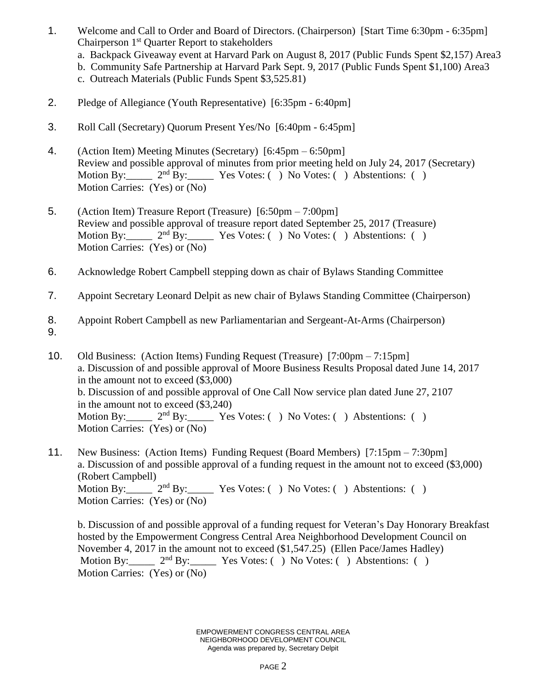- 1. Welcome and Call to Order and Board of Directors. (Chairperson) [Start Time 6:30pm 6:35pm] Chairperson 1st Quarter Report to stakeholders
	- a. Backpack Giveaway event at Harvard Park on August 8, 2017 (Public Funds Spent \$2,157) Area3
	- b. Community Safe Partnership at Harvard Park Sept. 9, 2017 (Public Funds Spent \$1,100) Area3
	- c. Outreach Materials (Public Funds Spent \$3,525.81)
- 2. Pledge of Allegiance (Youth Representative) [6:35pm 6:40pm]
- 3. Roll Call (Secretary) Quorum Present Yes/No [6:40pm 6:45pm]
- 4. (Action Item) Meeting Minutes (Secretary) [6:45pm 6:50pm] Review and possible approval of minutes from prior meeting held on July 24, 2017 (Secretary) Motion By:  $2<sup>nd</sup> By:$  Yes Votes: (b) No Votes: (c) Abstentions: (b) Motion Carries: (Yes) or (No)
- 5. (Action Item) Treasure Report (Treasure) [6:50pm 7:00pm] Review and possible approval of treasure report dated September 25, 2017 (Treasure) Motion By:  $2<sup>nd</sup>$  By: Yes Votes: ( ) No Votes: ( ) Abstentions: ( ) Motion Carries: (Yes) or (No)
- 6. Acknowledge Robert Campbell stepping down as chair of Bylaws Standing Committee
- 7. Appoint Secretary Leonard Delpit as new chair of Bylaws Standing Committee (Chairperson)
- 8. Appoint Robert Campbell as new Parliamentarian and Sergeant-At-Arms (Chairperson)
- 9.
- 10. Old Business: (Action Items) Funding Request (Treasure) [7:00pm 7:15pm] a. Discussion of and possible approval of Moore Business Results Proposal dated June 14, 2017 in the amount not to exceed (\$3,000) b. Discussion of and possible approval of One Call Now service plan dated June 27, 2107 in the amount not to exceed (\$3,240) Motion By: 2<sup>nd</sup> By: Yes Votes: ( ) No Votes: ( ) Abstentions: ( ) Motion Carries: (Yes) or (No)
- 11. New Business: (Action Items) Funding Request (Board Members) [7:15pm 7:30pm] a. Discussion of and possible approval of a funding request in the amount not to exceed (\$3,000) (Robert Campbell) Motion By:  $2<sup>nd</sup> By:$  Yes Votes: ( ) No Votes: ( ) Abstentions: ( ) Motion Carries: (Yes) or (No)

b. Discussion of and possible approval of a funding request for Veteran's Day Honorary Breakfast hosted by the Empowerment Congress Central Area Neighborhood Development Council on November 4, 2017 in the amount not to exceed (\$1,547.25) (Ellen Pace/James Hadley) Motion By: 2<sup>nd</sup> By: Yes Votes: () No Votes: () Abstentions: () Motion Carries: (Yes) or (No)

> EMPOWERMENT CONGRESS CENTRAL AREA NEIGHBORHOOD DEVELOPMENT COUNCIL Agenda was prepared by, Secretary Delpit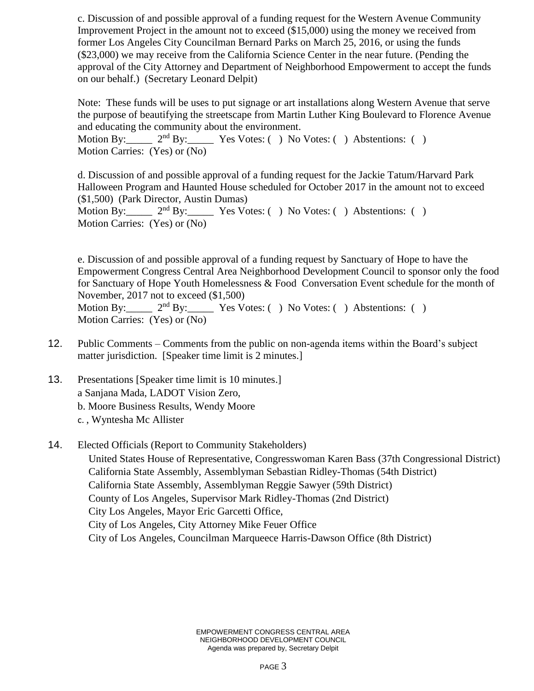c. Discussion of and possible approval of a funding request for the Western Avenue Community Improvement Project in the amount not to exceed (\$15,000) using the money we received from former Los Angeles City Councilman Bernard Parks on March 25, 2016, or using the funds (\$23,000) we may receive from the California Science Center in the near future. (Pending the approval of the City Attorney and Department of Neighborhood Empowerment to accept the funds on our behalf.) (Secretary Leonard Delpit)

Note: These funds will be uses to put signage or art installations along Western Avenue that serve the purpose of beautifying the streetscape from Martin Luther King Boulevard to Florence Avenue and educating the community about the environment.

Motion By:  $2<sup>nd</sup> By: Yes Votes: () No Votes: () Abstentions: ()$ Motion Carries: (Yes) or (No)

d. Discussion of and possible approval of a funding request for the Jackie Tatum/Harvard Park Halloween Program and Haunted House scheduled for October 2017 in the amount not to exceed (\$1,500) (Park Director, Austin Dumas) Motion By:  $2<sup>nd</sup> By: Yes Votes: ( ) No Votes: ( ) Abstentions: ( )$ Motion Carries: (Yes) or (No)

e. Discussion of and possible approval of a funding request by Sanctuary of Hope to have the Empowerment Congress Central Area Neighborhood Development Council to sponsor only the food for Sanctuary of Hope Youth Homelessness & Food Conversation Event schedule for the month of November, 2017 not to exceed (\$1,500) Motion By:  $2<sup>nd</sup> By: Yes Votes: ( ) No Votes: ( ) AbstractO.$ Motion Carries: (Yes) or (No)

- 12. Public Comments Comments from the public on non-agenda items within the Board's subject matter jurisdiction. [Speaker time limit is 2 minutes.]
- 13. Presentations [Speaker time limit is 10 minutes.] a Sanjana Mada, LADOT Vision Zero, b. Moore Business Results, Wendy Moore c. , Wyntesha Mc Allister
- 14. Elected Officials (Report to Community Stakeholders) United States House of Representative, Congresswoman Karen Bass (37th Congressional District) California State Assembly, Assemblyman Sebastian Ridley-Thomas (54th District) California State Assembly, Assemblyman Reggie Sawyer (59th District) County of Los Angeles, Supervisor Mark Ridley-Thomas (2nd District) City Los Angeles, Mayor Eric Garcetti Office, City of Los Angeles, City Attorney Mike Feuer Office City of Los Angeles, Councilman Marqueece Harris-Dawson Office (8th District)